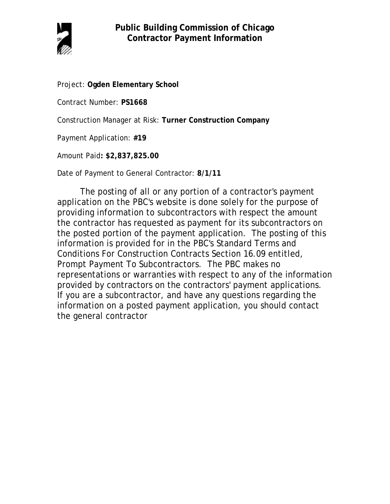

Project: **Ogden Elementary School**

Contract Number: **PS1668**

Construction Manager at Risk: **Turner Construction Company**

Payment Application: **#19**

Amount Paid**: \$2,837,825.00**

Date of Payment to General Contractor: **8/1/11**

The posting of all or any portion of a contractor's payment application on the PBC's website is done solely for the purpose of providing information to subcontractors with respect the amount the contractor has requested as payment for its subcontractors on the posted portion of the payment application. The posting of this information is provided for in the PBC's Standard Terms and Conditions For Construction Contracts Section 16.09 entitled, Prompt Payment To Subcontractors. The PBC makes no representations or warranties with respect to any of the information provided by contractors on the contractors' payment applications. If you are a subcontractor, and have any questions regarding the information on a posted payment application, you should contact the general contractor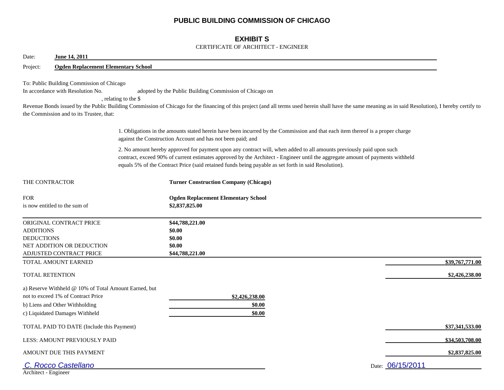## **PUBLIC BUILDING COMMISSION OF CHICAGO**

## **EXHIBIT S**

#### CERTIFICATE OF ARCHITECT - ENGINEER

| June 14, 2011<br>Date:                                                                                                     |                                                       |                                                                                                                                                                                                                                                                                                                                                                |                 |
|----------------------------------------------------------------------------------------------------------------------------|-------------------------------------------------------|----------------------------------------------------------------------------------------------------------------------------------------------------------------------------------------------------------------------------------------------------------------------------------------------------------------------------------------------------------------|-----------------|
| Project:                                                                                                                   | <b>Ogden Replacement Elementary School</b>            |                                                                                                                                                                                                                                                                                                                                                                |                 |
| To: Public Building Commission of Chicago<br>In accordance with Resolution No.<br>the Commission and to its Trustee, that: | , relating to the \$                                  | adopted by the Public Building Commission of Chicago on<br>Revenue Bonds issued by the Public Building Commission of Chicago for the financing of this project (and all terms used herein shall have the same meaning as in said Resolution), I hereby certify to                                                                                              |                 |
|                                                                                                                            |                                                       | 1. Obligations in the amounts stated herein have been incurred by the Commission and that each item thereof is a proper charge<br>against the Construction Account and has not been paid; and                                                                                                                                                                  |                 |
|                                                                                                                            |                                                       | 2. No amount hereby approved for payment upon any contract will, when added to all amounts previously paid upon such<br>contract, exceed 90% of current estimates approved by the Architect - Engineer until the aggregate amount of payments withheld<br>equals 5% of the Contract Price (said retained funds being payable as set forth in said Resolution). |                 |
| THE CONTRACTOR                                                                                                             |                                                       | <b>Turner Construction Company (Chicago)</b>                                                                                                                                                                                                                                                                                                                   |                 |
| <b>FOR</b><br>is now entitled to the sum of                                                                                |                                                       | <b>Ogden Replacement Elementary School</b><br>\$2,837,825.00                                                                                                                                                                                                                                                                                                   |                 |
| ORIGINAL CONTRACT PRICE<br><b>ADDITIONS</b><br><b>DEDUCTIONS</b><br>NET ADDITION OR DEDUCTION<br>ADJUSTED CONTRACT PRICE   |                                                       | \$44,788,221.00<br>\$0.00<br>\$0.00<br>\$0.00<br>\$44,788,221.00                                                                                                                                                                                                                                                                                               |                 |
| TOTAL AMOUNT EARNED                                                                                                        |                                                       |                                                                                                                                                                                                                                                                                                                                                                | \$39,767,771.00 |
| <b>TOTAL RETENTION</b>                                                                                                     |                                                       |                                                                                                                                                                                                                                                                                                                                                                | \$2,426,238.00  |
| not to exceed 1% of Contract Price<br>b) Liens and Other Withholding<br>c) Liquidated Damages Withheld                     | a) Reserve Withheld @ 10% of Total Amount Earned, but | \$2,426,238.00<br>\$0.00<br>\$0.00                                                                                                                                                                                                                                                                                                                             |                 |
|                                                                                                                            | TOTAL PAID TO DATE (Include this Payment)             |                                                                                                                                                                                                                                                                                                                                                                | \$37,341,533.00 |
| LESS: AMOUNT PREVIOUSLY PAID                                                                                               |                                                       |                                                                                                                                                                                                                                                                                                                                                                | \$34,503,708.00 |
| AMOUNT DUE THIS PAYMENT                                                                                                    |                                                       |                                                                                                                                                                                                                                                                                                                                                                | \$2,837,825.00  |
| C. Rocco Castellano<br>Architect - Engineer                                                                                |                                                       | Date: 06/15/2011                                                                                                                                                                                                                                                                                                                                               |                 |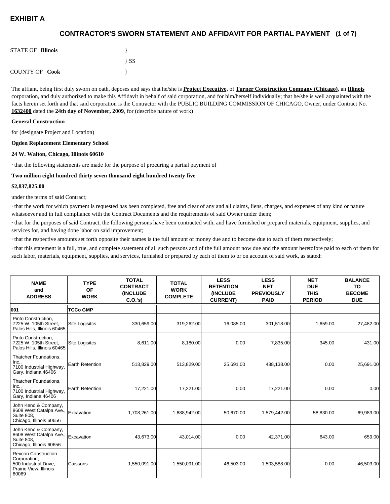## **(1 of 7) CONTRACTOR'S SWORN STATEMENT AND AFFIDAVIT FOR PARTIAL PAYMENT**

| <b>STATE OF Illinois</b> |          |
|--------------------------|----------|
|                          | $\{SS\}$ |
| <b>COUNTY OF Cook</b>    |          |

The affiant, being first duly sworn on oath, deposes and says that he/she is **Project Executive**, of **Turner Construction Company (Chicago)**, an **Illinois** corporation, and duly authorized to make this Affidavit in behalf of said corporation, and for him/herself individually; that he/she is well acquainted with the facts herein set forth and that said corporation is the Contractor with the PUBLIC BUILDING COMMISSION OF CHICAGO, Owner, under Contract No. **1632400** dated the **24th day of November, 2009**, for (describe nature of work)

#### **General Construction**

for (designate Project and Location)

#### **Ogden Replacement Elementary School**

#### **24 W. Walton, Chicago, Illinois 60610**

**·** that the following statements are made for the purpose of procuring a partial payment of

#### **Two million eight hundred thirty seven thousand eight hundred twenty five**

#### **\$2,837,825.00**

under the terms of said Contract;

**·** that the work for which payment is requested has been completed, free and clear of any and all claims, liens, charges, and expenses of any kind or nature whatsoever and in full compliance with the Contract Documents and the requirements of said Owner under them;

**·** that for the purposes of said Contract, the following persons have been contracted with, and have furnished or prepared materials, equipment, supplies, and services for, and having done labor on said improvement;

**·** that the respective amounts set forth opposite their names is the full amount of money due and to become due to each of them respectively;

**·** that this statement is a full, true, and complete statement of all such persons and of the full amount now due and the amount heretofore paid to each of them for such labor, materials, equipment, supplies, and services, furnished or prepared by each of them to or on account of said work, as stated:

| <b>NAME</b><br>and<br><b>ADDRESS</b>                                                                   | <b>TYPE</b><br><b>OF</b><br><b>WORK</b> | <b>TOTAL</b><br><b>CONTRACT</b><br><b>(INCLUDE)</b><br>C.0.'s) | <b>TOTAL</b><br><b>WORK</b><br><b>COMPLETE</b> | <b>LESS</b><br><b>RETENTION</b><br><b>(INCLUDE)</b><br><b>CURRENT)</b> | <b>LESS</b><br><b>NET</b><br><b>PREVIOUSLY</b><br><b>PAID</b> | <b>NET</b><br><b>DUE</b><br><b>THIS</b><br><b>PERIOD</b> | <b>BALANCE</b><br>TO<br><b>BECOME</b><br><b>DUE</b> |
|--------------------------------------------------------------------------------------------------------|-----------------------------------------|----------------------------------------------------------------|------------------------------------------------|------------------------------------------------------------------------|---------------------------------------------------------------|----------------------------------------------------------|-----------------------------------------------------|
| 001                                                                                                    | <b>TCCo GMP</b>                         |                                                                |                                                |                                                                        |                                                               |                                                          |                                                     |
| Pinto Construction.<br>7225 W. 105th Street,<br>Palos Hills, Illinois 60465                            | <b>Site Logisitcs</b>                   | 330,659.00                                                     | 319,262.00                                     | 16,085.00                                                              | 301,518.00                                                    | 1,659.00                                                 | 27,482.00                                           |
| Pinto Construction,<br>7225 W. 105th Street.<br>Palos Hills, Illinois 60465                            | Site Logisitcs                          | 8,611.00                                                       | 8,180.00                                       | 0.00                                                                   | 7,835.00                                                      | 345.00                                                   | 431.00                                              |
| Thatcher Foundations,<br>Inc.,<br>7100 Industrial Highway,<br>Gary, Indiana 46406                      | Earth Retention                         | 513,829.00                                                     | 513,829.00                                     | 25,691.00                                                              | 488,138.00                                                    | 0.00                                                     | 25,691.00                                           |
| Thatcher Foundations,<br>Inc.,<br>7100 Industrial Highway,<br>Gary, Indiana 46406                      | <b>Earth Retention</b>                  | 17,221.00                                                      | 17,221.00                                      | 0.00                                                                   | 17,221.00                                                     | 0.00                                                     | 0.00                                                |
| John Keno & Company,<br>8608 West Catalpa Ave.,<br><b>Suite 808.</b><br>Chicago, Illinois 60656        | Excavation                              | 1,708,261.00                                                   | 1,688,942.00                                   | 50,670.00                                                              | 1,579,442.00                                                  | 58,830.00                                                | 69,989.00                                           |
| John Keno & Company,<br>8608 West Catalpa Ave.,<br><b>Suite 808.</b><br>Chicago, Illinois 60656        | Excavation                              | 43,673.00                                                      | 43,014.00                                      | 0.00                                                                   | 42,371.00                                                     | 643.00                                                   | 659.00                                              |
| <b>Revcon Construction</b><br>Corporation,<br>500 Industrial Drive,<br>Prairie View, Illinois<br>60069 | Caissons                                | 1,550,091.00                                                   | 1,550,091.00                                   | 46,503.00                                                              | 1,503,588.00                                                  | 0.00                                                     | 46,503.00                                           |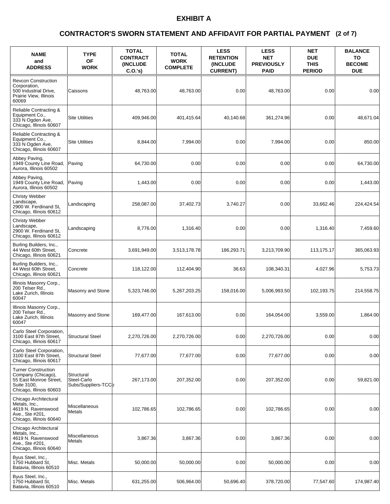### **(2 of 7) CONTRACTOR'S SWORN STATEMENT AND AFFIDAVIT FOR PARTIAL PAYMENT**

| <b>NAME</b><br>and<br><b>ADDRESS</b>                                                                                 | <b>TYPE</b><br><b>OF</b><br><b>WORK</b>          | <b>TOTAL</b><br><b>CONTRACT</b><br><b>(INCLUDE)</b><br>C.O.'s | <b>TOTAL</b><br><b>WORK</b><br><b>COMPLETE</b> | <b>LESS</b><br><b>RETENTION</b><br><b>INCLUDE</b><br><b>CURRENT)</b> | <b>LESS</b><br><b>NET</b><br><b>PREVIOUSLY</b><br><b>PAID</b> | <b>NET</b><br><b>DUE</b><br><b>THIS</b><br><b>PERIOD</b> | <b>BALANCE</b><br>TO<br><b>BECOME</b><br><b>DUE</b> |
|----------------------------------------------------------------------------------------------------------------------|--------------------------------------------------|---------------------------------------------------------------|------------------------------------------------|----------------------------------------------------------------------|---------------------------------------------------------------|----------------------------------------------------------|-----------------------------------------------------|
| <b>Revcon Construction</b><br>Corporation,<br>500 Industrial Drive,<br>Prairie View, Illinois<br>60069               | Caissons                                         | 48,763.00                                                     | 48,763.00                                      | 0.00                                                                 | 48.763.00                                                     | 0.00                                                     | 0.00                                                |
| Reliable Contracting &<br>Equipment Co.,<br>333 N Ogden Ave.<br>Chicago, Illinois 60607                              | <b>Site Utilities</b>                            | 409,946.00                                                    | 401,415.64                                     | 40.140.68                                                            | 361,274.96                                                    | 0.00                                                     | 48,671.04                                           |
| Reliable Contracting &<br>Equipment Co.,<br>333 N Ogden Ave.<br>Chicago, Illinois 60607                              | <b>Site Utilities</b>                            | 8,844.00                                                      | 7,994.00                                       | 0.00                                                                 | 7,994.00                                                      | 0.00                                                     | 850.00                                              |
| Abbey Paving,<br>1949 County Line Road,<br>Aurora, Illinois 60502                                                    | Paving                                           | 64,730.00                                                     | 0.00                                           | 0.00                                                                 | 0.00                                                          | 0.00                                                     | 64,730.00                                           |
| Abbey Paving,<br>1949 County Line Road,<br>Aurora, Illinois 60502                                                    | Paving                                           | 1,443.00                                                      | 0.00                                           | 0.00                                                                 | 0.00                                                          | 0.00                                                     | 1,443.00                                            |
| <b>Christy Webber</b><br>Landscape,<br>2900 W. Ferdinand St.<br>Chicago, Illinois 60612                              | Landscaping                                      | 258,087.00                                                    | 37,402.73                                      | 3,740.27                                                             | 0.00                                                          | 33,662.46                                                | 224,424.54                                          |
| <b>Christy Webber</b><br>Landscape,<br>2900 W. Ferdinand St,<br>Chicago, Illinois 60612                              | Landscaping                                      | 8,776.00                                                      | 1,316.40                                       | 0.00                                                                 | 0.00                                                          | 1,316.40                                                 | 7,459.60                                            |
| Burling Builders, Inc.,<br>44 West 60th Street,<br>Chicago, Illinois 60621                                           | Concrete                                         | 3,691,949.00                                                  | 3,513,178.78                                   | 186,293.71                                                           | 3,213,709.90                                                  | 113,175.17                                               | 365,063.93                                          |
| Burling Builders, Inc.,<br>44 West 60th Street,<br>Chicago, Illinois 60621                                           | Concrete                                         | 118,122.00                                                    | 112,404.90                                     | 36.63                                                                | 108,340.31                                                    | 4,027.96                                                 | 5,753.73                                            |
| Illinois Masonry Corp.,<br>200 Telser Rd.,<br>Lake Zurich, Illinois<br>60047                                         | Masonry and Stone                                | 5,323,746.00                                                  | 5,267,203.25                                   | 158,016.00                                                           | 5,006,993.50                                                  | 102,193.75                                               | 214,558.75                                          |
| Illinois Masonry Corp.,<br>200 Telser Rd<br>Lake Zurich, Illinois<br>60047                                           | Masonry and Stone                                | 169,477.00                                                    | 167,613.00                                     | 0.00                                                                 | 164,054.00                                                    | 3,559.00                                                 | 1,864.00                                            |
| Carlo Steel Corporation,<br>3100 East 87th Street,<br>Chicago, Illinois 60617                                        | <b>Structural Steel</b>                          | 2,270,726.00                                                  | 2,270,726.00                                   | 0.00                                                                 | 2,270,726.00                                                  | 0.00                                                     | 0.00                                                |
| Carlo Steel Corporation,<br>3100 East 87th Street,<br>Chicago, Illinois 60617                                        | <b>Structural Steel</b>                          | 77,677.00                                                     | 77,677.00                                      | 0.00                                                                 | 77,677.00                                                     | 0.00                                                     | 0.00                                                |
| <b>Turner Construction</b><br>Company (Chicago),<br>55 East Monroe Street,<br>Suite 3100,<br>Chicago, Illinois 60603 | Structural<br>Steel-Carlo<br>Subs/Suppliers-TCCb | 267,173.00                                                    | 207,352.00                                     | 0.00                                                                 | 207,352.00                                                    | 0.00                                                     | 59,821.00                                           |
| Chicago Architectural<br>Metals, Inc.,<br>4619 N. Ravenswood<br>Ave., Ste #201,<br>Chicago, Illinois 60640           | Miscellaneous<br><b>Metals</b>                   | 102,786.65                                                    | 102.786.65                                     | 0.00                                                                 | 102,786.65                                                    | 0.00                                                     | 0.00                                                |
| Chicago Architectural<br>Metals, Inc.,<br>4619 N. Ravenswood<br>Ave., Ste #201,<br>Chicago, Illinois 60640           | Miscellaneous<br>Metals                          | 3,867.36                                                      | 3,867.36                                       | 0.00                                                                 | 3,867.36                                                      | 0.00                                                     | 0.00                                                |
| Byus Steel, Inc.,<br>1750 Hubbard St.<br>Batavia, Illinois 60510                                                     | Misc. Metals                                     | 50,000.00                                                     | 50,000.00                                      | 0.00                                                                 | 50,000.00                                                     | 0.00                                                     | 0.00                                                |
| Byus Steel, Inc.,<br>1750 Hubbard St.<br>Batavia, Illinois 60510                                                     | Misc. Metals                                     | 631,255.00                                                    | 506,964.00                                     | 50,696.40                                                            | 378,720.00                                                    | 77,547.60                                                | 174,987.40                                          |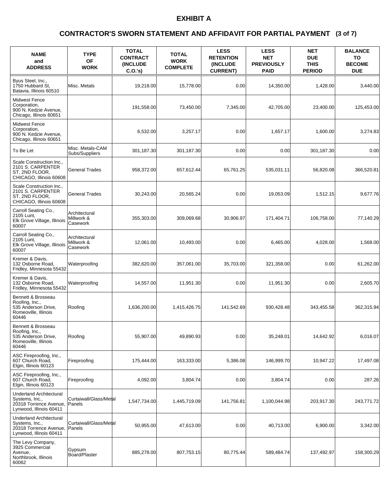### **(3 of 7) CONTRACTOR'S SWORN STATEMENT AND AFFIDAVIT FOR PARTIAL PAYMENT**

| <b>NAME</b><br>and<br><b>ADDRESS</b>                                                                  | <b>TYPE</b><br><b>OF</b><br><b>WORK</b> | <b>TOTAL</b><br><b>CONTRACT</b><br><b>(INCLUDE)</b><br>C.O.'s | <b>TOTAL</b><br><b>WORK</b><br><b>COMPLETE</b> | <b>LESS</b><br><b>RETENTION</b><br>(INCLUDE<br><b>CURRENT)</b> | <b>LESS</b><br><b>NET</b><br><b>PREVIOUSLY</b><br><b>PAID</b> | <b>NET</b><br><b>DUE</b><br><b>THIS</b><br><b>PERIOD</b> | <b>BALANCE</b><br>TO<br><b>BECOME</b><br><b>DUE</b> |
|-------------------------------------------------------------------------------------------------------|-----------------------------------------|---------------------------------------------------------------|------------------------------------------------|----------------------------------------------------------------|---------------------------------------------------------------|----------------------------------------------------------|-----------------------------------------------------|
| Byus Steel, Inc.,<br>1750 Hubbard St,<br>Batavia, Illinois 60510                                      | Misc. Metals                            | 19,218.00                                                     | 15,778.00                                      | 0.00                                                           | 14,350.00                                                     | 1,428.00                                                 | 3,440.00                                            |
| <b>Midwest Fence</b><br>Corporation,<br>900 N. Kedzie Avenue,<br>Chicago, Illinois 60651              |                                         | 191,558.00                                                    | 73,450.00                                      | 7,345.00                                                       | 42.705.00                                                     | 23.400.00                                                | 125,453.00                                          |
| <b>Midwest Fence</b><br>Corporation,<br>900 N. Kedzie Avenue,<br>Chicago, Illinois 60651              |                                         | 6,532.00                                                      | 3,257.17                                       | 0.00                                                           | 1.657.17                                                      | 1,600.00                                                 | 3,274.83                                            |
| To Be Let                                                                                             | Misc. Metals-CAM<br>Subs/Suppliers      | 301,187.30                                                    | 301,187.30                                     | 0.00                                                           | 0.00                                                          | 301,187.30                                               | 0.00                                                |
| Scale Construction Inc.,<br>2101 S. CARPENTER<br>ST, 2ND FLOOR,<br>CHICAGO, Illinois 60608            | <b>General Trades</b>                   | 958,372.00                                                    | 657.612.44                                     | 65,761.25                                                      | 535,031.11                                                    | 56,820.08                                                | 366,520.81                                          |
| Scale Construction Inc.,<br>2101 S. CARPENTER<br>ST, 2ND FLOOR,<br>CHICAGO, Illinois 60608            | <b>General Trades</b>                   | 30,243.00                                                     | 20,565.24                                      | 0.00                                                           | 19,053.09                                                     | 1,512.15                                                 | 9,677.76                                            |
| Carroll Seating Co.,<br>2105 Lunt,<br>Elk Grove Village, Illinois<br>60007                            | Architectural<br>Millwork &<br>Casework | 355,303.00                                                    | 309,069.68                                     | 30.906.97                                                      | 171,404.71                                                    | 106,758.00                                               | 77,140.29                                           |
| Carroll Seating Co.,<br>2105 Lunt,<br>Elk Grove Village, Illinois<br>60007                            | Architectural<br>Millwork &<br>Casework | 12,061.00                                                     | 10,493.00                                      | 0.00                                                           | 6,465.00                                                      | 4,028.00                                                 | 1,568.00                                            |
| Kremer & Davis,<br>132 Osborne Road,<br>Fridley, Minnesota 55432                                      | Waterproofing                           | 382,620.00                                                    | 357,061.00                                     | 35,703.00                                                      | 321,358.00                                                    | 0.00                                                     | 61,262.00                                           |
| Kremer & Davis,<br>132 Osborne Road,<br>Fridley, Minnesota 55432                                      | Waterproofing                           | 14,557.00                                                     | 11,951.30                                      | 0.00                                                           | 11,951.30                                                     | 0.00                                                     | 2,605.70                                            |
| Bennett & Brosseau<br>Roofing, Inc.,<br>535 Anderson Drive,<br>Romeoville, Illinois<br>60446          | Roofing                                 | 1,636,200.00                                                  | 1,415,426.75                                   | 141,542.69                                                     | 930,428.48                                                    | 343,455.58                                               | 362,315.94                                          |
| Bennett & Brosseau<br>Roofing, Inc.,<br>535 Anderson Drive,<br>Romeoville, Illinois<br>60446          | Roofing                                 | 55,907.00                                                     | 49,890.93                                      | 0.00                                                           | 35,248.01                                                     | 14,642.92                                                | 6,016.07                                            |
| ASC Fireproofing, Inc.,<br>607 Church Road,<br>Elgin, Illinois 60123                                  | Fireproofing                            | 175,444.00                                                    | 163,333.00                                     | 5,386.08                                                       | 146,999.70                                                    | 10,947.22                                                | 17,497.08                                           |
| ASC Fireproofing, Inc.,<br>607 Church Road,<br>Elgin, Illinois 60123                                  | Fireproofing                            | 4,092.00                                                      | 3,804.74                                       | 0.00                                                           | 3,804.74                                                      | 0.00                                                     | 287.26                                              |
| <b>Underland Architectural</b><br>Systems, Inc.,<br>20318 Torrence Avenue,<br>Lynwood, Illinois 60411 | Curtaiwall/Glass/Metal<br>Panels        | 1,547,734.00                                                  | 1,445,719.09                                   | 141,756.81                                                     | 1,100,044.98                                                  | 203,917.30                                               | 243,771.72                                          |
| <b>Underland Architectural</b><br>Systems, Inc.,<br>20318 Torrence Avenue,<br>Lynwood, Illinois 60411 | Curtaiwall/Glass/Metal<br>Panels        | 50,955.00                                                     | 47,613.00                                      | 0.00                                                           | 40,713.00                                                     | 6,900.00                                                 | 3,342.00                                            |
| The Levy Company,<br>3925 Commercial<br>Avenue.<br>Northbrook, Illinois<br>60062                      | Gypsum<br>Board/Plaster                 | 885,278.00                                                    | 807,753.15                                     | 80,775.44                                                      | 589,484.74                                                    | 137,492.97                                               | 158,300.29                                          |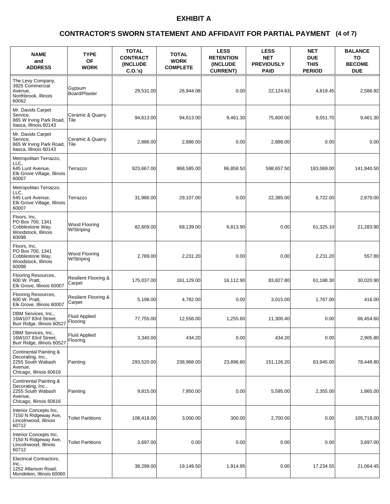### **(4 of 7) CONTRACTOR'S SWORN STATEMENT AND AFFIDAVIT FOR PARTIAL PAYMENT**

| <b>NAME</b><br>and<br><b>ADDRESS</b>                                                                   | <b>TYPE</b><br><b>OF</b><br><b>WORK</b>   | <b>TOTAL</b><br><b>CONTRACT</b><br><b>INCLUDE</b><br>C.O.'s | <b>TOTAL</b><br><b>WORK</b><br><b>COMPLETE</b> | <b>LESS</b><br><b>RETENTION</b><br>(INCLUDE<br><b>CURRENT)</b> | <b>LESS</b><br><b>NET</b><br><b>PREVIOUSLY</b><br><b>PAID</b> | <b>NET</b><br><b>DUE</b><br><b>THIS</b><br><b>PERIOD</b> | <b>BALANCE</b><br>TO<br><b>BECOME</b><br><b>DUE</b> |
|--------------------------------------------------------------------------------------------------------|-------------------------------------------|-------------------------------------------------------------|------------------------------------------------|----------------------------------------------------------------|---------------------------------------------------------------|----------------------------------------------------------|-----------------------------------------------------|
| The Levy Company,<br>3925 Commercial<br>Avenue,<br>Northbrook, Illinois<br>60062                       | Gypsum<br>Board/Plaster                   | 29,531.00                                                   | 26,944.08                                      | 0.00                                                           | 22,124.63                                                     | 4,819.45                                                 | 2,586.92                                            |
| Mr. Davids Carpet<br>Service,<br>865 W Irving Park Road,<br>Itasca, Illinois 60143                     | Ceramic & Quarry<br>Tile                  | 94,613.00                                                   | 94,613.00                                      | 9,461.30                                                       | 75,600.00                                                     | 9,551.70                                                 | 9,461.30                                            |
| Mr. Davids Carpet<br>Service,<br>865 W Irving Park Road,<br>Itasca, Illinois 60143                     | Ceramic & Quarry<br>Tile                  | 2,886.00                                                    | 2,886.00                                       | 0.00                                                           | 2,886.00                                                      | 0.00                                                     | 0.00                                                |
| Metropolitan Terrazzo,<br>LLC,<br>645 Lunt Avenue.<br>Elk Grove Village, Illinois<br>60007             | Terrazzo                                  | 923,667.00                                                  | 868,585.00                                     | 86,858.50                                                      | 598,657.50                                                    | 183,069.00                                               | 141,940.50                                          |
| Metropolitan Terrazzo,<br>LLC.<br>645 Lunt Avenue,<br>Elk Grove Village, Illinois<br>60007             | Terrazzo                                  | 31,986.00                                                   | 29,107.00                                      | 0.00                                                           | 22,385.00                                                     | 6,722.00                                                 | 2,879.00                                            |
| Floors, Inc,<br>PO Box 700, 1341<br>Cobblestone Way,<br>Woodstock, Illinois<br>60098                   | Wood Flooring<br>W/Striping               | 82.609.00                                                   | 68,139.00                                      | 6,813.90                                                       | 0.00                                                          | 61,325.10                                                | 21,283.90                                           |
| Floors, Inc,<br>PO Box 700, 1341<br>Cobblestone Way,<br>Woodstock, Illinois<br>60098                   | Wood Flooring<br>W/Striping               | 2,789.00                                                    | 2,231.20                                       | 0.00                                                           | 0.00                                                          | 2,231.20                                                 | 557.80                                              |
| Flooring Resources,<br>600 W. Pratt,<br>Elk Grove, Illinois 60007                                      | <b>Resilient Flooring &amp;</b><br>Carpet | 175,037.00                                                  | 161,129.00                                     | 16,112.90                                                      | 83,827.80                                                     | 61,188.30                                                | 30,020.90                                           |
| Flooring Resources,<br>600 W. Pratt,<br>Elk Grove, Illinois 60007                                      | Resilient Flooring &<br>Carpet            | 5,198.00                                                    | 4,782.00                                       | 0.00                                                           | 3,015.00                                                      | 1,767.00                                                 | 416.00                                              |
| DBM Services, Inc.,<br>16W107 83rd Street,<br>Burr Ridge, Illinois 60527                               | <b>Fluid Applied</b><br>Flooring          | 77,755.00                                                   | 12,556.00                                      | 1,255.60                                                       | 11,300.40                                                     | 0.00                                                     | 66,454.60                                           |
| DBM Services, Inc.,<br>16W107 83rd Street,<br>Burr Ridge, Illinois 60527                               | <b>Fluid Applied</b><br>Flooring          | 3,340.00                                                    | 434.20                                         | 0.00                                                           | 434.20                                                        | 0.00                                                     | 2,905.80                                            |
| Continental Painting &<br>Decorating, Inc.,<br>2255 South Wabash<br>Avenue,<br>Chicago, Illinois 60616 | Painting                                  | 293,520.00                                                  | 238,968.00                                     | 23,896.80                                                      | 151,126.20                                                    | 63,945.00                                                | 78,448.80                                           |
| Continental Painting &<br>Decorating, Inc.,<br>2255 South Wabash<br>Avenue,<br>Chicago, Illinois 60616 | Painting                                  | 9,815.00                                                    | 7,950.00                                       | 0.00                                                           | 5,595.00                                                      | 2,355.00                                                 | 1,865.00                                            |
| Interior Concepts Inc,<br>7150 N Ridgeway Ave,<br>Lincolnwood, Illinois<br>60712                       | <b>Toilet Partitions</b>                  | 108,418.00                                                  | 3,000.00                                       | 300.00                                                         | 2,700.00                                                      | 0.00                                                     | 105,718.00                                          |
| Interior Concepts Inc,<br>7150 N Ridgeway Ave,<br>Lincolnwood, Illinois<br>60712                       | <b>Toilet Partitions</b>                  | 3,697.00                                                    | 0.00                                           | 0.00                                                           | 0.00                                                          | 0.00                                                     | 3,697.00                                            |
| Electrical Contractors,<br>Inc.,<br>1252 Allanson Road,<br>Mundelein, Illinois 60060                   |                                           | 38,299.00                                                   | 19,149.50                                      | 1,914.95                                                       | 0.00                                                          | 17,234.55                                                | 21,064.45                                           |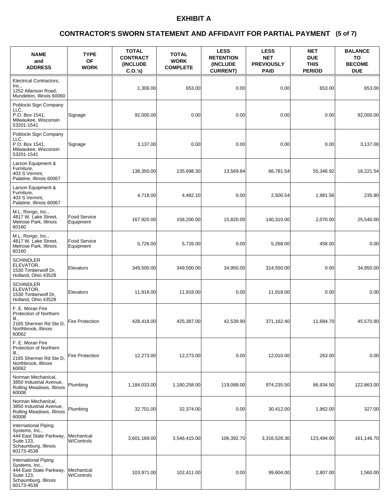### **(5 of 7) CONTRACTOR'S SWORN STATEMENT AND AFFIDAVIT FOR PARTIAL PAYMENT**

| <b>NAME</b><br>and<br><b>ADDRESS</b>                                                                                  | <b>TYPE</b><br><b>OF</b><br><b>WORK</b> | <b>TOTAL</b><br><b>CONTRACT</b><br><b>INCLUDE</b><br>C.O.'s | <b>TOTAL</b><br><b>WORK</b><br><b>COMPLETE</b> | <b>LESS</b><br><b>RETENTION</b><br><b>(INCLUDE</b><br><b>CURRENT)</b> | <b>LESS</b><br><b>NET</b><br><b>PREVIOUSLY</b><br><b>PAID</b> | <b>NET</b><br><b>DUE</b><br><b>THIS</b><br><b>PERIOD</b> | <b>BALANCE</b><br>TO<br><b>BECOME</b><br><b>DUE</b> |
|-----------------------------------------------------------------------------------------------------------------------|-----------------------------------------|-------------------------------------------------------------|------------------------------------------------|-----------------------------------------------------------------------|---------------------------------------------------------------|----------------------------------------------------------|-----------------------------------------------------|
| Electrical Contractors,<br>Inc.,<br>1252 Allanson Road,<br>Mundelein, Illinois 60060                                  |                                         | 1,306.00                                                    | 653.00                                         | 0.00                                                                  | 0.00                                                          | 653.00                                                   | 653.00                                              |
| Poblocki Sign Company<br>LLC.<br>P.O. Box 1541,<br>Milwaukee, Wisconsin<br>53201-1541                                 | Signage                                 | 92,000.00                                                   | 0.00                                           | 0.00                                                                  | 0.00                                                          | 0.00                                                     | 92,000.00                                           |
| Poblocki Sign Company<br>LLC.<br>P.O. Box 1541,<br>Milwaukee, Wisconsin<br>53201-1541                                 | Signage                                 | 3,137.00                                                    | 0.00                                           | 0.00                                                                  | 0.00                                                          | 0.00                                                     | 3,137.00                                            |
| Larson Equipment &<br>Furniture,<br>403 S Vermnt,<br>Palatine, Illinois 60067                                         |                                         | 138,350.00                                                  | 135,698.30                                     | 13,569.84                                                             | 66.781.54                                                     | 55,346.92                                                | 16,221.54                                           |
| Larson Equipment &<br>Furniture,<br>403 S Vermnt,<br>Palatine, Illinois 60067                                         |                                         | 4,718.00                                                    | 4,482.10                                       | 0.00                                                                  | 2,500.54                                                      | 1,981.56                                                 | 235.90                                              |
| M.L. Rongo, Inc.,<br>4817 W. Lake Street,<br>Melrose Park, Illinois<br>60160                                          | Food Service<br>Equipment               | 167,920.00                                                  | 158,200.00                                     | 15,820.00                                                             | 140,310.00                                                    | 2,070.00                                                 | 25,540.00                                           |
| M.L. Rongo, Inc.,<br>4817 W. Lake Street,<br>Melrose Park, Illinois<br>60160                                          | <b>Food Service</b><br>Equipment        | 5,726.00                                                    | 5,726.00                                       | 0.00                                                                  | 5,268.00                                                      | 458.00                                                   | 0.00                                                |
| <b>SCHINDLER</b><br>ELEVATOR,<br>1530 Timberwolf Dr.<br>Holland, Ohio 43528                                           | Elevators                               | 349,500.00                                                  | 349,500.00                                     | 34,950.00                                                             | 314,550.00                                                    | 0.00                                                     | 34,950.00                                           |
| SCHINDLER<br>ELEVATOR,<br>1530 Timberwolf Dr,<br>Holland, Ohio 43528                                                  | Elevators                               | 11,918.00                                                   | 11,918.00                                      | 0.00                                                                  | 11,918.00                                                     | 0.00                                                     | 0.00                                                |
| F. E. Moran Fire<br>Protection of Northern<br>Ш.,<br>2165 Shermer Rd Ste D,<br>Northbrook, Illinois<br>60062          | <b>Fire Protection</b>                  | 428,418.00                                                  | 425,387.00                                     | 42,539.90                                                             | 371,162.40                                                    | 11,684.70                                                | 45,570.90                                           |
| F. E. Moran Fire<br>Protection of Northern<br>III.,<br>2165 Shermer Rd Ste D,<br>Northbrook, Illinois<br>60062        | <b>Fire Protection</b>                  | 12,273.00                                                   | 12,273.00                                      | 0.00                                                                  | 12,010.00                                                     | 263.00                                                   | 0.00                                                |
| Norman Mechanical,<br>3850 Industrial Avenue,<br>Rolling Meadows, Illinois<br>60008                                   | Plumbing                                | 1,184,033.00                                                | 1,180,258.00                                   | 119,088.00                                                            | 974,235.50                                                    | 86,934.50                                                | 122,863.00                                          |
| Norman Mechanical,<br>3850 Industrial Avenue,<br>Rolling Meadows, Illinois<br>60008                                   | Plumbing                                | 32,701.00                                                   | 32,374.00                                      | 0.00                                                                  | 30,412.00                                                     | 1,962.00                                                 | 327.00                                              |
| International Piping<br>Systems, Inc.,<br>444 East State Parkway,<br>Suite 123,<br>Schaumburg, Illinois<br>60173-4538 | Mechanical<br><b>W/Controls</b>         | 3,601,169.00                                                | 3,546,415.00                                   | 106,392.70                                                            | 3,316,528.30                                                  | 123,494.00                                               | 161,146.70                                          |
| International Piping<br>Systems, Inc.,<br>444 East State Parkway,<br>Suite 123,<br>Schaumburg, Illinois<br>60173-4538 | Mechanical<br><b>W/Controls</b>         | 103,971.00                                                  | 102,411.00                                     | 0.00                                                                  | 99,604.00                                                     | 2,807.00                                                 | 1,560.00                                            |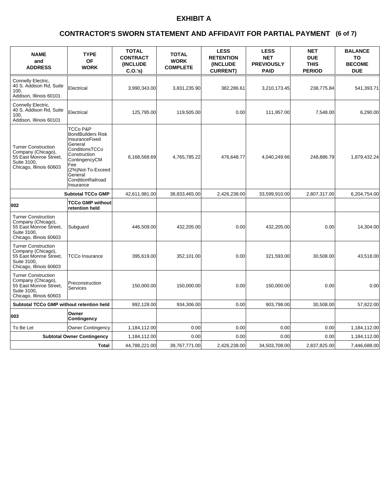### **(6 of 7) CONTRACTOR'S SWORN STATEMENT AND AFFIDAVIT FOR PARTIAL PAYMENT**

| <b>NAME</b><br>and<br><b>ADDRESS</b>                                                                                 | <b>TYPE</b><br>OF<br><b>WORK</b>                                                                                                                                                                         | <b>TOTAL</b><br><b>CONTRACT</b><br>(INCLUDE<br>C.O.'s | <b>TOTAL</b><br><b>WORK</b><br><b>COMPLETE</b> | <b>LESS</b><br><b>RETENTION</b><br>(INCLUDE<br><b>CURRENT)</b> | <b>LESS</b><br><b>NET</b><br><b>PREVIOUSLY</b><br><b>PAID</b> | <b>NET</b><br><b>DUE</b><br><b>THIS</b><br><b>PERIOD</b> | <b>BALANCE</b><br>TO<br><b>BECOME</b><br><b>DUE</b> |
|----------------------------------------------------------------------------------------------------------------------|----------------------------------------------------------------------------------------------------------------------------------------------------------------------------------------------------------|-------------------------------------------------------|------------------------------------------------|----------------------------------------------------------------|---------------------------------------------------------------|----------------------------------------------------------|-----------------------------------------------------|
| Connelly Electric,<br>40 S. Addison Rd, Suite<br>100.<br>Addison, Illinois 60101                                     | Electrical                                                                                                                                                                                               | 3,990,343.00                                          | 3,831,235.90                                   | 382,286.61                                                     | 3,210,173.45                                                  | 238,775.84                                               | 541,393.71                                          |
| Connelly Electric,<br>40 S. Addison Rd, Suite<br>100.<br>Addison, Illinois 60101                                     | Electrical                                                                                                                                                                                               | 125,795.00                                            | 119,505.00                                     | 0.00                                                           | 111,957.00                                                    | 7,548.00                                                 | 6,290.00                                            |
| <b>Turner Construction</b><br>Company (Chicago),<br>55 East Monroe Street,<br>Suite 3100.<br>Chicago, Illinois 60603 | <b>TCCo P&amp;P</b><br><b>BondBuilders Risk</b><br>InsuranceFixed<br>General<br>ConditionsTCCo<br>Construction<br>ContingencyCM<br>Fee<br>(2%)Not-To-Exceed<br>General<br>ConditionRailroad<br>Insurance | 6,168,568.69                                          | 4,765,785.22                                   | 476,648.77                                                     | 4,040,249.66                                                  | 248,886.79                                               | 1,879,432.24                                        |
|                                                                                                                      | <b>Subtotal TCCo GMP</b>                                                                                                                                                                                 | 42,611,981.00                                         | 38,833,465.00                                  | 2,426,238.00                                                   | 33,599,910.00                                                 | 2,807,317.00                                             | 6,204,754.00                                        |
| 002                                                                                                                  | TCCo GMP without<br>retention held                                                                                                                                                                       |                                                       |                                                |                                                                |                                                               |                                                          |                                                     |
| <b>Turner Construction</b><br>Company (Chicago),<br>55 East Monroe Street,<br>Suite 3100.<br>Chicago, Illinois 60603 | Subguard                                                                                                                                                                                                 | 446,509.00                                            | 432,205.00                                     | 0.00                                                           | 432,205.00                                                    | 0.00                                                     | 14,304.00                                           |
| <b>Turner Construction</b><br>Company (Chicago),<br>55 East Monroe Street,<br>Suite 3100.<br>Chicago, Illinois 60603 | TCCo Insurance                                                                                                                                                                                           | 395,619.00                                            | 352,101.00                                     | 0.00                                                           | 321,593.00                                                    | 30,508.00                                                | 43,518.00                                           |
| <b>Turner Construction</b><br>Company (Chicago),<br>55 East Monroe Street,<br>Suite 3100.<br>Chicago, Illinois 60603 | Preconstruction<br>Services                                                                                                                                                                              | 150.000.00                                            | 150,000.00                                     | 0.00                                                           | 150,000.00                                                    | 0.00                                                     | 0.00                                                |
| Subtotal TCCo GMP without retention held                                                                             |                                                                                                                                                                                                          | 992,128.00                                            | 934,306.00                                     | 0.00                                                           | 903,798.00                                                    | 30.508.00                                                | 57,822.00                                           |
| 003                                                                                                                  | Owner<br>Contingency                                                                                                                                                                                     |                                                       |                                                |                                                                |                                                               |                                                          |                                                     |
| To Be Let                                                                                                            | <b>Owner Contingency</b>                                                                                                                                                                                 | 1,184,112.00                                          | 0.00                                           | 0.00                                                           | 0.00                                                          | 0.00                                                     | 1,184,112.00                                        |
|                                                                                                                      | <b>Subtotal Owner Contingency</b>                                                                                                                                                                        | 1,184,112.00                                          | 0.00                                           | 0.00                                                           | 0.00                                                          | 0.00                                                     | 1,184,112.00                                        |
|                                                                                                                      | <b>Total</b>                                                                                                                                                                                             | 44,788,221.00                                         | 39,767,771.00                                  | 2,426,238.00                                                   | 34,503,708.00                                                 | 2,837,825.00                                             | 7,446,688.00                                        |